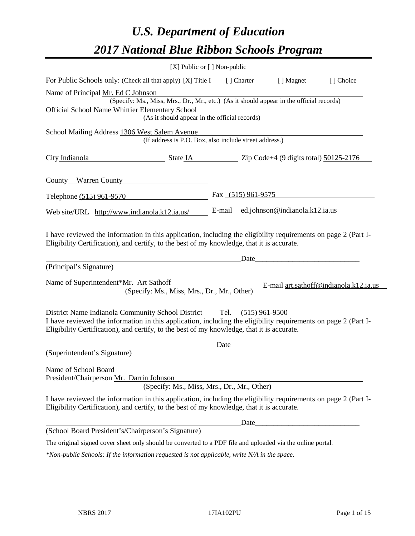# *U.S. Department of Education 2017 National Blue Ribbon Schools Program*

| [X] Public or [] Non-public                                                                                                                                                                                                                                                                                                                                                                                                                                                                      |        |                      |                                |                                        |
|--------------------------------------------------------------------------------------------------------------------------------------------------------------------------------------------------------------------------------------------------------------------------------------------------------------------------------------------------------------------------------------------------------------------------------------------------------------------------------------------------|--------|----------------------|--------------------------------|----------------------------------------|
| For Public Schools only: (Check all that apply) [X] Title I [] Charter                                                                                                                                                                                                                                                                                                                                                                                                                           |        |                      | [ ] Magnet                     | [ ] Choice                             |
| Name of Principal Mr. Ed C Johnson                                                                                                                                                                                                                                                                                                                                                                                                                                                               |        |                      |                                |                                        |
| (Specify: Ms., Miss, Mrs., Dr., Mr., etc.) (As it should appear in the official records)                                                                                                                                                                                                                                                                                                                                                                                                         |        |                      |                                |                                        |
| Official School Name Whittier Elementary School<br>(As it should appear in the official records)                                                                                                                                                                                                                                                                                                                                                                                                 |        |                      |                                |                                        |
|                                                                                                                                                                                                                                                                                                                                                                                                                                                                                                  |        |                      |                                |                                        |
| School Mailing Address 1306 West Salem Avenue<br>(If address is P.O. Box, also include street address.)                                                                                                                                                                                                                                                                                                                                                                                          |        |                      |                                |                                        |
| City Indianola<br>$\blacksquare$ State IA $\blacksquare$ $\blacksquare$ $\blacksquare$ $\blacksquare$ $\blacksquare$ $\blacksquare$ $\blacksquare$ $\blacksquare$ $\blacksquare$ $\blacksquare$ $\blacksquare$ $\blacksquare$ $\blacksquare$ $\blacksquare$ $\blacksquare$ $\blacksquare$ $\blacksquare$ $\blacksquare$ $\blacksquare$ $\blacksquare$ $\blacksquare$ $\blacksquare$ $\blacksquare$ $\blacksquare$ $\blacksquare$ $\blacksquare$ $\blacksquare$ $\blacksquare$ $\blacksquare$ $\$ |        |                      |                                |                                        |
| County Warren County                                                                                                                                                                                                                                                                                                                                                                                                                                                                             |        |                      |                                |                                        |
| Telephone (515) 961-9570                                                                                                                                                                                                                                                                                                                                                                                                                                                                         |        | Fax $(515)$ 961-9575 |                                |                                        |
| Web site/URL http://www.indianola.k12.ia.us/                                                                                                                                                                                                                                                                                                                                                                                                                                                     | E-mail |                      | ed.johnson@indianola.k12.ia.us |                                        |
| I have reviewed the information in this application, including the eligibility requirements on page 2 (Part I-<br>Eligibility Certification), and certify, to the best of my knowledge, that it is accurate.<br>(Principal's Signature)                                                                                                                                                                                                                                                          |        | Date                 |                                |                                        |
| Name of Superintendent*Mr. Art Sathoff<br>(Specify: Ms., Miss, Mrs., Dr., Mr., Other)                                                                                                                                                                                                                                                                                                                                                                                                            |        |                      |                                | E-mail art.sathoff@indianola.k12.ia.us |
| District Name Indianola Community School District Tel. (515) 961-9500<br>I have reviewed the information in this application, including the eligibility requirements on page 2 (Part I-<br>Eligibility Certification), and certify, to the best of my knowledge, that it is accurate.                                                                                                                                                                                                            |        |                      |                                |                                        |
|                                                                                                                                                                                                                                                                                                                                                                                                                                                                                                  | Date   |                      |                                |                                        |
| (Superintendent's Signature)                                                                                                                                                                                                                                                                                                                                                                                                                                                                     |        |                      |                                |                                        |
| Name of School Board<br>President/Chairperson Mr. Darrin Johnson<br>(Specify: Ms., Miss, Mrs., Dr., Mr., Other)                                                                                                                                                                                                                                                                                                                                                                                  |        |                      |                                |                                        |
| I have reviewed the information in this application, including the eligibility requirements on page 2 (Part I-<br>Eligibility Certification), and certify, to the best of my knowledge, that it is accurate.                                                                                                                                                                                                                                                                                     |        |                      |                                |                                        |
|                                                                                                                                                                                                                                                                                                                                                                                                                                                                                                  |        | Date                 |                                |                                        |
| (School Board President's/Chairperson's Signature)                                                                                                                                                                                                                                                                                                                                                                                                                                               |        |                      |                                |                                        |
| The original signed cover sheet only should be converted to a PDF file and uploaded via the online portal.                                                                                                                                                                                                                                                                                                                                                                                       |        |                      |                                |                                        |
| *Non-public Schools: If the information requested is not applicable, write N/A in the space.                                                                                                                                                                                                                                                                                                                                                                                                     |        |                      |                                |                                        |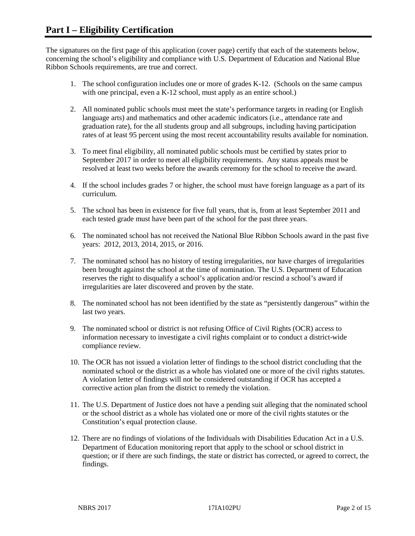The signatures on the first page of this application (cover page) certify that each of the statements below, concerning the school's eligibility and compliance with U.S. Department of Education and National Blue Ribbon Schools requirements, are true and correct.

- 1. The school configuration includes one or more of grades K-12. (Schools on the same campus with one principal, even a K-12 school, must apply as an entire school.)
- 2. All nominated public schools must meet the state's performance targets in reading (or English language arts) and mathematics and other academic indicators (i.e., attendance rate and graduation rate), for the all students group and all subgroups, including having participation rates of at least 95 percent using the most recent accountability results available for nomination.
- 3. To meet final eligibility, all nominated public schools must be certified by states prior to September 2017 in order to meet all eligibility requirements. Any status appeals must be resolved at least two weeks before the awards ceremony for the school to receive the award.
- 4. If the school includes grades 7 or higher, the school must have foreign language as a part of its curriculum.
- 5. The school has been in existence for five full years, that is, from at least September 2011 and each tested grade must have been part of the school for the past three years.
- 6. The nominated school has not received the National Blue Ribbon Schools award in the past five years: 2012, 2013, 2014, 2015, or 2016.
- 7. The nominated school has no history of testing irregularities, nor have charges of irregularities been brought against the school at the time of nomination. The U.S. Department of Education reserves the right to disqualify a school's application and/or rescind a school's award if irregularities are later discovered and proven by the state.
- 8. The nominated school has not been identified by the state as "persistently dangerous" within the last two years.
- 9. The nominated school or district is not refusing Office of Civil Rights (OCR) access to information necessary to investigate a civil rights complaint or to conduct a district-wide compliance review.
- 10. The OCR has not issued a violation letter of findings to the school district concluding that the nominated school or the district as a whole has violated one or more of the civil rights statutes. A violation letter of findings will not be considered outstanding if OCR has accepted a corrective action plan from the district to remedy the violation.
- 11. The U.S. Department of Justice does not have a pending suit alleging that the nominated school or the school district as a whole has violated one or more of the civil rights statutes or the Constitution's equal protection clause.
- 12. There are no findings of violations of the Individuals with Disabilities Education Act in a U.S. Department of Education monitoring report that apply to the school or school district in question; or if there are such findings, the state or district has corrected, or agreed to correct, the findings.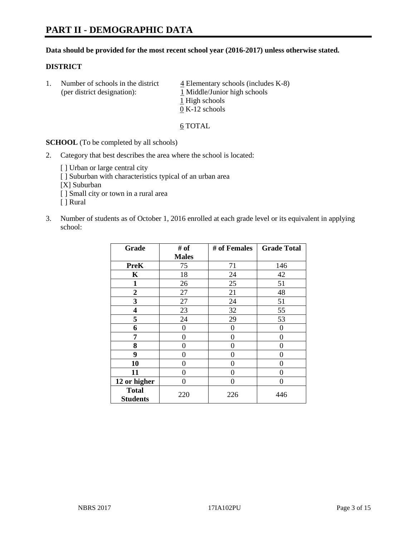# **PART II - DEMOGRAPHIC DATA**

#### **Data should be provided for the most recent school year (2016-2017) unless otherwise stated.**

#### **DISTRICT**

1. Number of schools in the district  $\frac{4}{4}$  Elementary schools (includes K-8) (per district designation): 1 Middle/Junior high schools 1 High schools 0 K-12 schools

#### 6 TOTAL

**SCHOOL** (To be completed by all schools)

- 2. Category that best describes the area where the school is located:
	- [] Urban or large central city [ ] Suburban with characteristics typical of an urban area [X] Suburban [ ] Small city or town in a rural area [ ] Rural
- 3. Number of students as of October 1, 2016 enrolled at each grade level or its equivalent in applying school:

| Grade                           | # of         | # of Females | <b>Grade Total</b> |
|---------------------------------|--------------|--------------|--------------------|
|                                 | <b>Males</b> |              |                    |
| <b>PreK</b>                     | 75           | 71           | 146                |
| K                               | 18           | 24           | 42                 |
| $\mathbf{1}$                    | 26           | 25           | 51                 |
| $\overline{2}$                  | 27           | 21           | 48                 |
| 3                               | 27           | 24           | 51                 |
| 4                               | 23           | 32           | 55                 |
| 5                               | 24           | 29           | 53                 |
| 6                               | 0            | 0            | $\theta$           |
| 7                               | 0            | $\theta$     | 0                  |
| 8                               | 0            | $\theta$     | 0                  |
| 9                               | 0            | 0            | 0                  |
| 10                              | $\theta$     | 0            | 0                  |
| 11                              | 0            | 0            | $\Omega$           |
| 12 or higher                    | 0            | 0            | $\theta$           |
| <b>Total</b><br><b>Students</b> | 220          | 226          | 446                |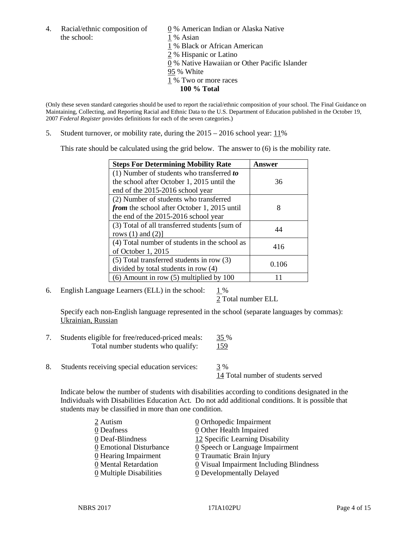4. Racial/ethnic composition of  $\qquad \qquad \underline{0}$  % American Indian or Alaska Native the school: 1 % Asian

 % Black or African American % Hispanic or Latino % Native Hawaiian or Other Pacific Islander 95 % White % Two or more races **100 % Total**

(Only these seven standard categories should be used to report the racial/ethnic composition of your school. The Final Guidance on Maintaining, Collecting, and Reporting Racial and Ethnic Data to the U.S. Department of Education published in the October 19, 2007 *Federal Register* provides definitions for each of the seven categories.)

5. Student turnover, or mobility rate, during the 2015 – 2016 school year: 11%

This rate should be calculated using the grid below. The answer to (6) is the mobility rate.

| <b>Steps For Determining Mobility Rate</b>         | Answer |  |
|----------------------------------------------------|--------|--|
| (1) Number of students who transferred to          |        |  |
| the school after October 1, 2015 until the         | 36     |  |
| end of the 2015-2016 school year                   |        |  |
| (2) Number of students who transferred             |        |  |
| <i>from</i> the school after October 1, 2015 until | 8      |  |
| the end of the 2015-2016 school year               |        |  |
| (3) Total of all transferred students [sum of      | 44     |  |
| rows $(1)$ and $(2)$ ]                             |        |  |
| (4) Total number of students in the school as      | 416    |  |
| of October 1, 2015                                 |        |  |
| (5) Total transferred students in row (3)          | 0.106  |  |
| divided by total students in row (4)               |        |  |
| $(6)$ Amount in row $(5)$ multiplied by 100        |        |  |

6. English Language Learners (ELL) in the school:  $1\%$ 

2 Total number ELL

Specify each non-English language represented in the school (separate languages by commas): Ukrainian, Russian

- 7. Students eligible for free/reduced-priced meals: 35 % Total number students who qualify: 159
- 8. Students receiving special education services: 3 %

14 Total number of students served

Indicate below the number of students with disabilities according to conditions designated in the Individuals with Disabilities Education Act. Do not add additional conditions. It is possible that students may be classified in more than one condition.

| 2 Autism                              | $\underline{0}$ Orthopedic Impairment         |
|---------------------------------------|-----------------------------------------------|
| 0 Deafness                            | 0 Other Health Impaired                       |
| 0 Deaf-Blindness                      | 12 Specific Learning Disability               |
| 0 Emotional Disturbance               | $\underline{0}$ Speech or Language Impairment |
| 0 Hearing Impairment                  | 0 Traumatic Brain Injury                      |
| 0 Mental Retardation                  | 0 Visual Impairment Including Blindness       |
| $\underline{0}$ Multiple Disabilities | <b>0</b> Developmentally Delayed              |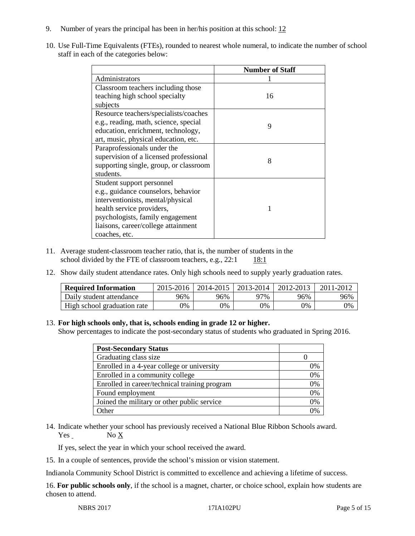- 9. Number of years the principal has been in her/his position at this school:  $12$
- 10. Use Full-Time Equivalents (FTEs), rounded to nearest whole numeral, to indicate the number of school staff in each of the categories below:

|                                        | <b>Number of Staff</b> |
|----------------------------------------|------------------------|
| Administrators                         |                        |
| Classroom teachers including those     |                        |
| teaching high school specialty         | 16                     |
| subjects                               |                        |
| Resource teachers/specialists/coaches  |                        |
| e.g., reading, math, science, special  | 9                      |
| education, enrichment, technology,     |                        |
| art, music, physical education, etc.   |                        |
| Paraprofessionals under the            |                        |
| supervision of a licensed professional | 8                      |
| supporting single, group, or classroom |                        |
| students.                              |                        |
| Student support personnel              |                        |
| e.g., guidance counselors, behavior    |                        |
| interventionists, mental/physical      |                        |
| health service providers,              |                        |
| psychologists, family engagement       |                        |
| liaisons, career/college attainment    |                        |
| coaches, etc.                          |                        |

- 11. Average student-classroom teacher ratio, that is, the number of students in the school divided by the FTE of classroom teachers, e.g.,  $22:1$  18:1
- 12. Show daily student attendance rates. Only high schools need to supply yearly graduation rates.

| <b>Required Information</b> | 2015-2016 | 2014-2015 | 2013-2014 | 2012-2013 |     |
|-----------------------------|-----------|-----------|-----------|-----------|-----|
| Daily student attendance    | 96%       | 96%       | 97%       | 96%       | 96% |
| High school graduation rate | 0%        | 0%        | 0%        | 9%        | 0%  |

### 13. **For high schools only, that is, schools ending in grade 12 or higher.**

Show percentages to indicate the post-secondary status of students who graduated in Spring 2016.

| <b>Post-Secondary Status</b>                  |    |
|-----------------------------------------------|----|
| Graduating class size                         |    |
| Enrolled in a 4-year college or university    | 0% |
| Enrolled in a community college               | 0% |
| Enrolled in career/technical training program | 0% |
| Found employment                              | 0% |
| Joined the military or other public service   | 0% |
| )ther                                         |    |

14. Indicate whether your school has previously received a National Blue Ribbon Schools award.  $Yes$  No  $X$ 

If yes, select the year in which your school received the award.

15. In a couple of sentences, provide the school's mission or vision statement.

Indianola Community School District is committed to excellence and achieving a lifetime of success.

16. **For public schools only**, if the school is a magnet, charter, or choice school, explain how students are chosen to attend.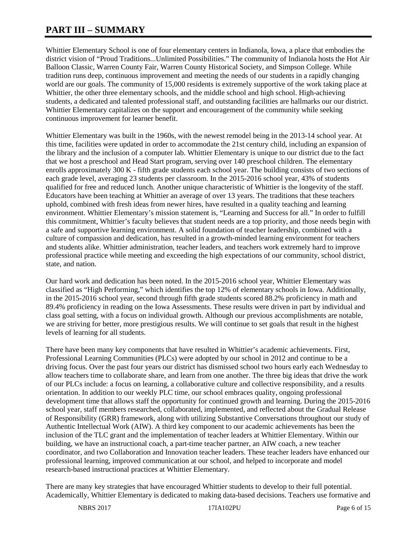# **PART III – SUMMARY**

Whittier Elementary School is one of four elementary centers in Indianola, Iowa, a place that embodies the district vision of "Proud Traditions...Unlimited Possibilities." The community of Indianola hosts the Hot Air Balloon Classic, Warren County Fair, Warren County Historical Society, and Simpson College. While tradition runs deep, continuous improvement and meeting the needs of our students in a rapidly changing world are our goals. The community of 15,000 residents is extremely supportive of the work taking place at Whittier, the other three elementary schools, and the middle school and high school. High-achieving students, a dedicated and talented professional staff, and outstanding facilities are hallmarks our our district. Whittier Elementary capitalizes on the support and encouragement of the community while seeking continuous improvement for learner benefit.

Whittier Elementary was built in the 1960s, with the newest remodel being in the 2013-14 school year. At this time, facilities were updated in order to accommodate the 21st century child, including an expansion of the library and the inclusion of a computer lab. Whittier Elementary is unique to our district due to the fact that we host a preschool and Head Start program, serving over 140 preschool children. The elementary enrolls approximately 300 K - fifth grade students each school year. The building consists of two sections of each grade level, averaging 23 students per classroom. In the 2015-2016 school year, 43% of students qualified for free and reduced lunch. Another unique characteristic of Whittier is the longevity of the staff. Educators have been teaching at Whittier an average of over 13 years. The traditions that these teachers uphold, combined with fresh ideas from newer hires, have resulted in a quality teaching and learning environment. Whittier Elementary's mission statement is, "Learning and Success for all." In order to fulfill this commitment, Whittier's faculty believes that student needs are a top priority, and those needs begin with a safe and supportive learning environment. A solid foundation of teacher leadership, combined with a culture of compassion and dedication, has resulted in a growth-minded learning environment for teachers and students alike. Whittier administration, teacher leaders, and teachers work extremely hard to improve professional practice while meeting and exceeding the high expectations of our community, school district, state, and nation.

Our hard work and dedication has been noted. In the 2015-2016 school year, Whittier Elementary was classified as "High Performing," which identifies the top 12% of elementary schools in Iowa. Additionally, in the 2015-2016 school year, second through fifth grade students scored 88.2% proficiency in math and 89.4% proficiency in reading on the Iowa Assessments. These results were driven in part by individual and class goal setting, with a focus on individual growth. Although our previous accomplishments are notable, we are striving for better, more prestigious results. We will continue to set goals that result in the highest levels of learning for all students.

There have been many key components that have resulted in Whittier's academic achievements. First, Professional Learning Communities (PLCs) were adopted by our school in 2012 and continue to be a driving focus. Over the past four years our district has dismissed school two hours early each Wednesday to allow teachers time to collaborate share, and learn from one another. The three big ideas that drive the work of our PLCs include: a focus on learning, a collaborative culture and collective responsibility, and a results orientation. In addition to our weekly PLC time, our school embraces quality, ongoing professional development time that allows staff the opportunity for continued growth and learning. During the 2015-2016 school year, staff members researched, collaborated, implemented, and reflected about the Gradual Release of Responsibility (GRR) framework, along with utilizing Substantive Conversations throughout our study of Authentic Intellectual Work (AIW). A third key component to our academic achievements has been the inclusion of the TLC grant and the implementation of teacher leaders at Whittier Elementary. Within our building, we have an instructional coach, a part-time teacher partner, an AIW coach, a new teacher coordinator, and two Collaboration and Innovation teacher leaders. These teacher leaders have enhanced our professional learning, improved communication at our school, and helped to incorporate and model research-based instructional practices at Whittier Elementary.

There are many key strategies that have encouraged Whittier students to develop to their full potential. Academically, Whittier Elementary is dedicated to making data-based decisions. Teachers use formative and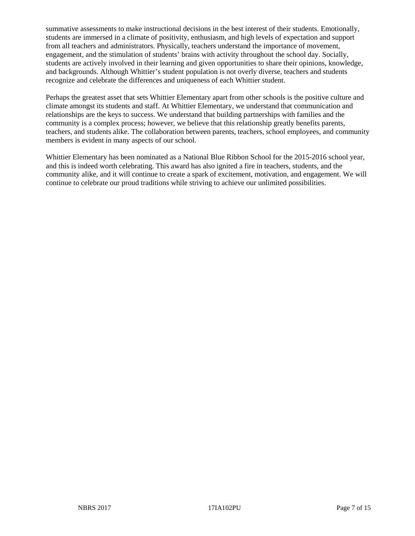summative assessments to make instructional decisions in the best interest of their students. Emotionally, students are immersed in a climate of positivity, enthusiasm, and high levels of expectation and support from all teachers and administrators. Physically, teachers understand the importance of movement, engagement, and the stimulation of students' brains with activity throughout the school day. Socially, students are actively involved in their learning and given opportunities to share their opinions, knowledge, and backgrounds. Although Whittier's student population is not overly diverse, teachers and students recognize and celebrate the differences and uniqueness of each Whittier student.

Perhaps the greatest asset that sets Whittier Elementary apart from other schools is the positive culture and climate amongst its students and staff. At Whittier Elementary, we understand that communication and relationships are the keys to success. We understand that building partnerships with families and the community is a complex process; however, we believe that this relationship greatly benefits parents, teachers, and students alike. The collaboration between parents, teachers, school employees, and community members is evident in many aspects of our school.

Whittier Elementary has been nominated as a National Blue Ribbon School for the 2015-2016 school year, and this is indeed worth celebrating. This award has also ignited a fire in teachers, students, and the community alike, and it will continue to create a spark of excitement, motivation, and engagement. We will continue to celebrate our proud traditions while striving to achieve our unlimited possibilities.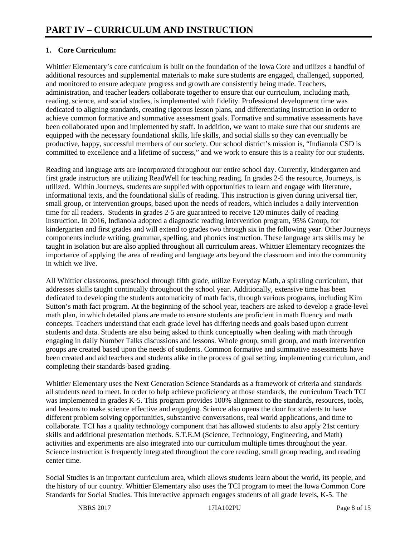# **1. Core Curriculum:**

Whittier Elementary's core curriculum is built on the foundation of the Iowa Core and utilizes a handful of additional resources and supplemental materials to make sure students are engaged, challenged, supported, and monitored to ensure adequate progress and growth are consistently being made. Teachers, administration, and teacher leaders collaborate together to ensure that our curriculum, including math, reading, science, and social studies, is implemented with fidelity. Professional development time was dedicated to aligning standards, creating rigorous lesson plans, and differentiating instruction in order to achieve common formative and summative assessment goals. Formative and summative assessments have been collaborated upon and implemented by staff. In addition, we want to make sure that our students are equipped with the necessary foundational skills, life skills, and social skills so they can eventually be productive, happy, successful members of our society. Our school district's mission is, "Indianola CSD is committed to excellence and a lifetime of success," and we work to ensure this is a reality for our students.

Reading and language arts are incorporated throughout our entire school day. Currently, kindergarten and first grade instructors are utilizing ReadWell for teaching reading. In grades 2-5 the resource, Journeys, is utilized. Within Journeys, students are supplied with opportunities to learn and engage with literature, informational texts, and the foundational skills of reading. This instruction is given during universal tier, small group, or intervention groups, based upon the needs of readers, which includes a daily intervention time for all readers. Students in grades 2-5 are guaranteed to receive 120 minutes daily of reading instruction. In 2016, Indianola adopted a diagnostic reading intervention program, 95% Group, for kindergarten and first grades and will extend to grades two through six in the following year. Other Journeys components include writing, grammar, spelling, and phonics instruction. These language arts skills may be taught in isolation but are also applied throughout all curriculum areas. Whittier Elementary recognizes the importance of applying the area of reading and language arts beyond the classroom and into the community in which we live.

All Whittier classrooms, preschool through fifth grade, utilize Everyday Math, a spiraling curriculum, that addresses skills taught continually throughout the school year. Additionally, extensive time has been dedicated to developing the students automaticity of math facts, through various programs, including Kim Sutton's math fact program. At the beginning of the school year, teachers are asked to develop a grade-level math plan, in which detailed plans are made to ensure students are proficient in math fluency and math concepts. Teachers understand that each grade level has differing needs and goals based upon current students and data. Students are also being asked to think conceptually when dealing with math through engaging in daily Number Talks discussions and lessons. Whole group, small group, and math intervention groups are created based upon the needs of students. Common formative and summative assessments have been created and aid teachers and students alike in the process of goal setting, implementing curriculum, and completing their standards-based grading.

Whittier Elementary uses the Next Generation Science Standards as a framework of criteria and standards all students need to meet. In order to help achieve proficiency at those standards, the curriculum Teach TCI was implemented in grades K-5. This program provides 100% alignment to the standards, resources, tools, and lessons to make science effective and engaging. Science also opens the door for students to have different problem solving opportunities, substantive conversations, real world applications, and time to collaborate. TCI has a quality technology component that has allowed students to also apply 21st century skills and additional presentation methods. S.T.E.M (Science, Technology, Engineering, and Math) activities and experiments are also integrated into our curriculum multiple times throughout the year. Science instruction is frequently integrated throughout the core reading, small group reading, and reading center time.

Social Studies is an important curriculum area, which allows students learn about the world, its people, and the history of our country. Whittier Elementary also uses the TCI program to meet the Iowa Common Core Standards for Social Studies. This interactive approach engages students of all grade levels, K-5. The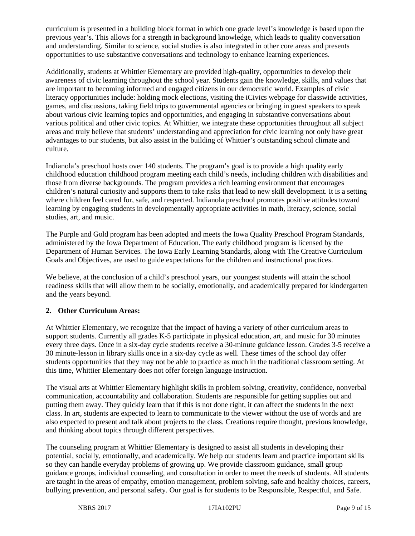curriculum is presented in a building block format in which one grade level's knowledge is based upon the previous year's. This allows for a strength in background knowledge, which leads to quality conversation and understanding. Similar to science, social studies is also integrated in other core areas and presents opportunities to use substantive conversations and technology to enhance learning experiences.

Additionally, students at Whittier Elementary are provided high-quality, opportunities to develop their awareness of civic learning throughout the school year. Students gain the knowledge, skills, and values that are important to becoming informed and engaged citizens in our democratic world. Examples of civic literacy opportunities include: holding mock elections, visiting the iCivics webpage for classwide activities, games, and discussions, taking field trips to governmental agencies or bringing in guest speakers to speak about various civic learning topics and opportunities, and engaging in substantive conversations about various political and other civic topics. At Whittier, we integrate these opportunities throughout all subject areas and truly believe that students' understanding and appreciation for civic learning not only have great advantages to our students, but also assist in the building of Whittier's outstanding school climate and culture.

Indianola's preschool hosts over 140 students. The program's goal is to provide a high quality early childhood education childhood program meeting each child's needs, including children with disabilities and those from diverse backgrounds. The program provides a rich learning environment that encourages children's natural curiosity and supports them to take risks that lead to new skill development. It is a setting where children feel cared for, safe, and respected. Indianola preschool promotes positive attitudes toward learning by engaging students in developmentally appropriate activities in math, literacy, science, social studies, art, and music.

The Purple and Gold program has been adopted and meets the Iowa Quality Preschool Program Standards, administered by the Iowa Department of Education. The early childhood program is licensed by the Department of Human Services. The Iowa Early Learning Standards, along with The Creative Curriculum Goals and Objectives, are used to guide expectations for the children and instructional practices.

We believe, at the conclusion of a child's preschool years, our youngest students will attain the school readiness skills that will allow them to be socially, emotionally, and academically prepared for kindergarten and the years beyond.

## **2. Other Curriculum Areas:**

At Whittier Elementary, we recognize that the impact of having a variety of other curriculum areas to support students. Currently all grades K-5 participate in physical education, art, and music for 30 minutes every three days. Once in a six-day cycle students receive a 30-minute guidance lesson. Grades 3-5 receive a 30 minute-lesson in library skills once in a six-day cycle as well. These times of the school day offer students opportunities that they may not be able to practice as much in the traditional classroom setting. At this time, Whittier Elementary does not offer foreign language instruction.

The visual arts at Whittier Elementary highlight skills in problem solving, creativity, confidence, nonverbal communication, accountability and collaboration. Students are responsible for getting supplies out and putting them away. They quickly learn that if this is not done right, it can affect the students in the next class. In art, students are expected to learn to communicate to the viewer without the use of words and are also expected to present and talk about projects to the class. Creations require thought, previous knowledge, and thinking about topics through different perspectives.

The counseling program at Whittier Elementary is designed to assist all students in developing their potential, socially, emotionally, and academically. We help our students learn and practice important skills so they can handle everyday problems of growing up. We provide classroom guidance, small group guidance groups, individual counseling, and consultation in order to meet the needs of students. All students are taught in the areas of empathy, emotion management, problem solving, safe and healthy choices, careers, bullying prevention, and personal safety. Our goal is for students to be Responsible, Respectful, and Safe.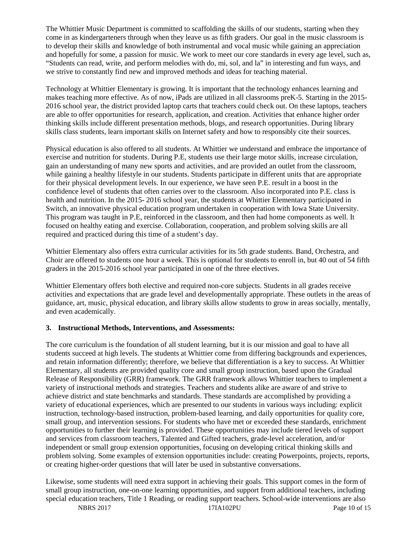The Whittier Music Department is committed to scaffolding the skills of our students, starting when they come in as kindergarteners through when they leave us as fifth graders. Our goal in the music classroom is to develop their skills and knowledge of both instrumental and vocal music while gaining an appreciation and hopefully for some, a passion for music. We work to meet our core standards in every age level, such as, "Students can read, write, and perform melodies with do, mi, sol, and la" in interesting and fun ways, and we strive to constantly find new and improved methods and ideas for teaching material.

Technology at Whittier Elementary is growing. It is important that the technology enhances learning and makes teaching more effective. As of now, iPads are utilized in all classrooms preK-5. Starting in the 2015- 2016 school year, the district provided laptop carts that teachers could check out. On these laptops, teachers are able to offer opportunities for research, application, and creation. Activities that enhance higher order thinking skills include different presentation methods, blogs, and research opportunities. During library skills class students, learn important skills on Internet safety and how to responsibly cite their sources.

Physical education is also offered to all students. At Whittier we understand and embrace the importance of exercise and nutrition for students. During P.E, students use their large motor skills, increase circulation, gain an understanding of many new sports and activities, and are provided an outlet from the classroom, while gaining a healthy lifestyle in our students. Students participate in different units that are appropriate for their physical development levels. In our experience, we have seen P.E. result in a boost in the confidence level of students that often carries over to the classroom. Also incorporated into P.E. class is health and nutrition. In the 2015- 2016 school year, the students at Whittier Elementary participated in Switch, an innovative physical education program undertaken in cooperation with Iowa State University. This program was taught in P.E, reinforced in the classroom, and then had home components as well. It focused on healthy eating and exercise. Collaboration, cooperation, and problem solving skills are all required and practiced during this time of a student's day.

Whittier Elementary also offers extra curricular activities for its 5th grade students. Band, Orchestra, and Choir are offered to students one hour a week. This is optional for students to enroll in, but 40 out of 54 fifth graders in the 2015-2016 school year participated in one of the three electives.

Whittier Elementary offers both elective and required non-core subjects. Students in all grades receive activities and expectations that are grade level and developmentally appropriate. These outlets in the areas of guidance, art, music, physical education, and library skills allow students to grow in areas socially, mentally, and even academically.

## **3. Instructional Methods, Interventions, and Assessments:**

The core curriculum is the foundation of all student learning, but it is our mission and goal to have all students succeed at high levels. The students at Whittier come from differing backgrounds and experiences, and retain information differently; therefore, we believe that differentiation is a key to success. At Whittier Elementary, all students are provided quality core and small group instruction, based upon the Gradual Release of Responsibility (GRR) framework. The GRR framework allows Whittier teachers to implement a variety of instructional methods and strategies. Teachers and students alike are aware of and strive to achieve district and state benchmarks and standards. These standards are accomplished by providing a variety of educational experiences, which are presented to our students in various ways including: explicit instruction, technology-based instruction, problem-based learning, and daily opportunities for quality core, small group, and intervention sessions. For students who have met or exceeded these standards, enrichment opportunities to further their learning is provided. These opportunities may include tiered levels of support and services from classroom teachers, Talented and Gifted teachers, grade-level acceleration, and/or independent or small group extension opportunities, focusing on developing critical thinking skills and problem solving. Some examples of extension opportunities include: creating Powerpoints, projects, reports, or creating higher-order questions that will later be used in substantive conversations.

Likewise, some students will need extra support in achieving their goals. This support comes in the form of small group instruction, one-on-one learning opportunities, and support from additional teachers, including special education teachers, Title 1 Reading, or reading support teachers. School-wide interventions are also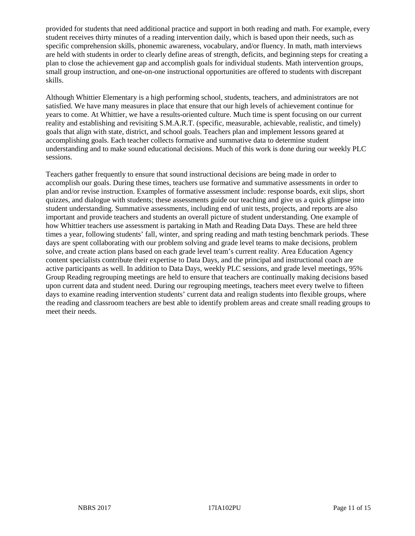provided for students that need additional practice and support in both reading and math. For example, every student receives thirty minutes of a reading intervention daily, which is based upon their needs, such as specific comprehension skills, phonemic awareness, vocabulary, and/or fluency. In math, math interviews are held with students in order to clearly define areas of strength, deficits, and beginning steps for creating a plan to close the achievement gap and accomplish goals for individual students. Math intervention groups, small group instruction, and one-on-one instructional opportunities are offered to students with discrepant skills.

Although Whittier Elementary is a high performing school, students, teachers, and administrators are not satisfied. We have many measures in place that ensure that our high levels of achievement continue for years to come. At Whittier, we have a results-oriented culture. Much time is spent focusing on our current reality and establishing and revisiting S.M.A.R.T. (specific, measurable, achievable, realistic, and timely) goals that align with state, district, and school goals. Teachers plan and implement lessons geared at accomplishing goals. Each teacher collects formative and summative data to determine student understanding and to make sound educational decisions. Much of this work is done during our weekly PLC sessions.

Teachers gather frequently to ensure that sound instructional decisions are being made in order to accomplish our goals. During these times, teachers use formative and summative assessments in order to plan and/or revise instruction. Examples of formative assessment include: response boards, exit slips, short quizzes, and dialogue with students; these assessments guide our teaching and give us a quick glimpse into student understanding. Summative assessments, including end of unit tests, projects, and reports are also important and provide teachers and students an overall picture of student understanding. One example of how Whittier teachers use assessment is partaking in Math and Reading Data Days. These are held three times a year, following students' fall, winter, and spring reading and math testing benchmark periods. These days are spent collaborating with our problem solving and grade level teams to make decisions, problem solve, and create action plans based on each grade level team's current reality. Area Education Agency content specialists contribute their expertise to Data Days, and the principal and instructional coach are active participants as well. In addition to Data Days, weekly PLC sessions, and grade level meetings, 95% Group Reading regrouping meetings are held to ensure that teachers are continually making decisions based upon current data and student need. During our regrouping meetings, teachers meet every twelve to fifteen days to examine reading intervention students' current data and realign students into flexible groups, where the reading and classroom teachers are best able to identify problem areas and create small reading groups to meet their needs.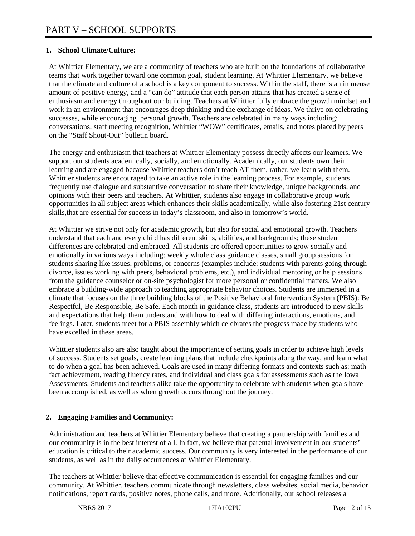## **1. School Climate/Culture:**

At Whittier Elementary, we are a community of teachers who are built on the foundations of collaborative teams that work together toward one common goal, student learning. At Whittier Elementary, we believe that the climate and culture of a school is a key component to success. Within the staff, there is an immense amount of positive energy, and a "can do" attitude that each person attains that has created a sense of enthusiasm and energy throughout our building. Teachers at Whittier fully embrace the growth mindset and work in an environment that encourages deep thinking and the exchange of ideas. We thrive on celebrating successes, while encouraging personal growth. Teachers are celebrated in many ways including: conversations, staff meeting recognition, Whittier "WOW" certificates, emails, and notes placed by peers on the "Staff Shout-Out" bulletin board.

The energy and enthusiasm that teachers at Whittier Elementary possess directly affects our learners. We support our students academically, socially, and emotionally. Academically, our students own their learning and are engaged because Whittier teachers don't teach AT them, rather, we learn with them. Whittier students are encouraged to take an active role in the learning process. For example, students frequently use dialogue and substantive conversation to share their knowledge, unique backgrounds, and opinions with their peers and teachers. At Whittier, students also engage in collaborative group work opportunities in all subject areas which enhances their skills academically, while also fostering 21st century skills,that are essential for success in today's classroom, and also in tomorrow's world.

At Whittier we strive not only for academic growth, but also for social and emotional growth. Teachers understand that each and every child has different skills, abilities, and backgrounds; these student differences are celebrated and embraced. All students are offered opportunities to grow socially and emotionally in various ways including: weekly whole class guidance classes, small group sessions for students sharing like issues, problems, or concerns (examples include: students with parents going through divorce, issues working with peers, behavioral problems, etc.), and individual mentoring or help sessions from the guidance counselor or on-site psychologist for more personal or confidential matters. We also embrace a building-wide approach to teaching appropriate behavior choices. Students are immersed in a climate that focuses on the three building blocks of the Positive Behavioral Intervention System (PBIS): Be Respectful, Be Responsible, Be Safe. Each month in guidance class, students are introduced to new skills and expectations that help them understand with how to deal with differing interactions, emotions, and feelings. Later, students meet for a PBIS assembly which celebrates the progress made by students who have excelled in these areas.

Whittier students also are also taught about the importance of setting goals in order to achieve high levels of success. Students set goals, create learning plans that include checkpoints along the way, and learn what to do when a goal has been achieved. Goals are used in many differing formats and contexts such as: math fact achievement, reading fluency rates, and individual and class goals for assessments such as the Iowa Assessments. Students and teachers alike take the opportunity to celebrate with students when goals have been accomplished, as well as when growth occurs throughout the journey.

# **2. Engaging Families and Community:**

Administration and teachers at Whittier Elementary believe that creating a partnership with families and our community is in the best interest of all. In fact, we believe that parental involvement in our students' education is critical to their academic success. Our community is very interested in the performance of our students, as well as in the daily occurrences at Whittier Elementary.

The teachers at Whittier believe that effective communication is essential for engaging families and our community. At Whittier, teachers communicate through newsletters, class websites, social media, behavior notifications, report cards, positive notes, phone calls, and more. Additionally, our school releases a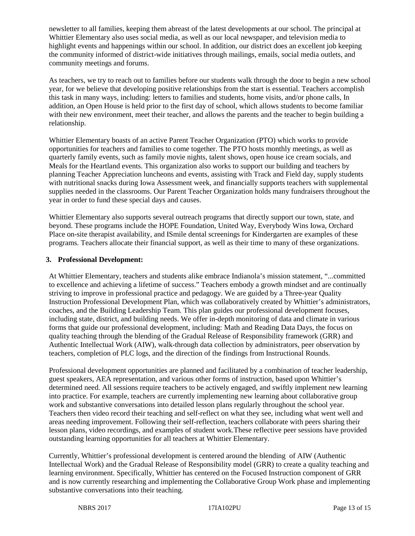newsletter to all families, keeping them abreast of the latest developments at our school. The principal at Whittier Elementary also uses social media, as well as our local newspaper, and television media to highlight events and happenings within our school. In addition, our district does an excellent job keeping the community informed of district-wide initiatives through mailings, emails, social media outlets, and community meetings and forums.

As teachers, we try to reach out to families before our students walk through the door to begin a new school year, for we believe that developing positive relationships from the start is essential. Teachers accomplish this task in many ways, including: letters to families and students, home visits, and/or phone calls, In addition, an Open House is held prior to the first day of school, which allows students to become familiar with their new environment, meet their teacher, and allows the parents and the teacher to begin building a relationship.

Whittier Elementary boasts of an active Parent Teacher Organization (PTO) which works to provide opportunities for teachers and families to come together. The PTO hosts monthly meetings, as well as quarterly family events, such as family movie nights, talent shows, open house ice cream socials, and Meals for the Heartland events. This organization also works to support our building and teachers by planning Teacher Appreciation luncheons and events, assisting with Track and Field day, supply students with nutritional snacks during Iowa Assessment week, and financially supports teachers with supplemental supplies needed in the classrooms. Our Parent Teacher Organization holds many fundraisers throughout the year in order to fund these special days and causes.

Whittier Elementary also supports several outreach programs that directly support our town, state, and beyond. These programs include the HOPE Foundation, United Way, Everybody Wins Iowa, Orchard Place on-site therapist availability, and ISmile dental screenings for Kindergarten are examples of these programs. Teachers allocate their financial support, as well as their time to many of these organizations.

### **3. Professional Development:**

At Whittier Elementary, teachers and students alike embrace Indianola's mission statement, "...committed to excellence and achieving a lifetime of success." Teachers embody a growth mindset and are continually striving to improve in professional practice and pedagogy. We are guided by a Three-year Quality Instruction Professional Development Plan, which was collaboratively created by Whittier's administrators, coaches, and the Building Leadership Team. This plan guides our professional development focuses, including state, district, and building needs. We offer in-depth monitoring of data and climate in various forms that guide our professional development, including: Math and Reading Data Days, the focus on quality teaching through the blending of the Gradual Release of Responsibility framework (GRR) and Authentic Intellectual Work (AIW), walk-through data collection by administrators, peer observation by teachers, completion of PLC logs, and the direction of the findings from Instructional Rounds.

Professional development opportunities are planned and facilitated by a combination of teacher leadership, guest speakers, AEA representation, and various other forms of instruction, based upon Whittier's determined need. All sessions require teachers to be actively engaged, and swiftly implement new learning into practice. For example, teachers are currently implementing new learning about collaborative group work and substantive conversations into detailed lesson plans regularly throughout the school year. Teachers then video record their teaching and self-reflect on what they see, including what went well and areas needing improvement. Following their self-reflection, teachers collaborate with peers sharing their lesson plans, video recordings, and examples of student work.These reflective peer sessions have provided outstanding learning opportunities for all teachers at Whittier Elementary.

Currently, Whittier's professional development is centered around the blending of AIW (Authentic Intellectual Work) and the Gradual Release of Responsibility model (GRR) to create a quality teaching and learning environment. Specifically, Whittier has centered on the Focused Instruction component of GRR and is now currently researching and implementing the Collaborative Group Work phase and implementing substantive conversations into their teaching.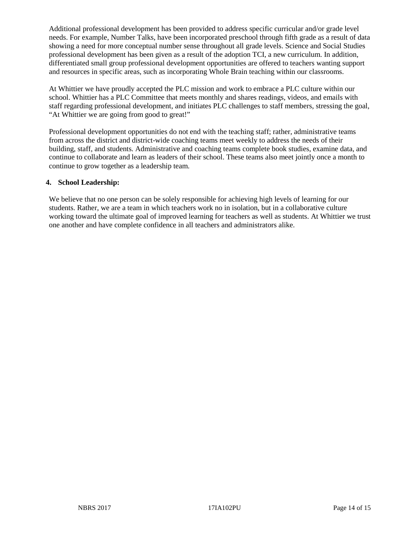Additional professional development has been provided to address specific curricular and/or grade level needs. For example, Number Talks, have been incorporated preschool through fifth grade as a result of data showing a need for more conceptual number sense throughout all grade levels. Science and Social Studies professional development has been given as a result of the adoption TCI, a new curriculum. In addition, differentiated small group professional development opportunities are offered to teachers wanting support and resources in specific areas, such as incorporating Whole Brain teaching within our classrooms.

At Whittier we have proudly accepted the PLC mission and work to embrace a PLC culture within our school. Whittier has a PLC Committee that meets monthly and shares readings, videos, and emails with staff regarding professional development, and initiates PLC challenges to staff members, stressing the goal, "At Whittier we are going from good to great!"

Professional development opportunities do not end with the teaching staff; rather, administrative teams from across the district and district-wide coaching teams meet weekly to address the needs of their building, staff, and students. Administrative and coaching teams complete book studies, examine data, and continue to collaborate and learn as leaders of their school. These teams also meet jointly once a month to continue to grow together as a leadership team.

### **4. School Leadership:**

We believe that no one person can be solely responsible for achieving high levels of learning for our students. Rather, we are a team in which teachers work no in isolation, but in a collaborative culture working toward the ultimate goal of improved learning for teachers as well as students. At Whittier we trust one another and have complete confidence in all teachers and administrators alike.